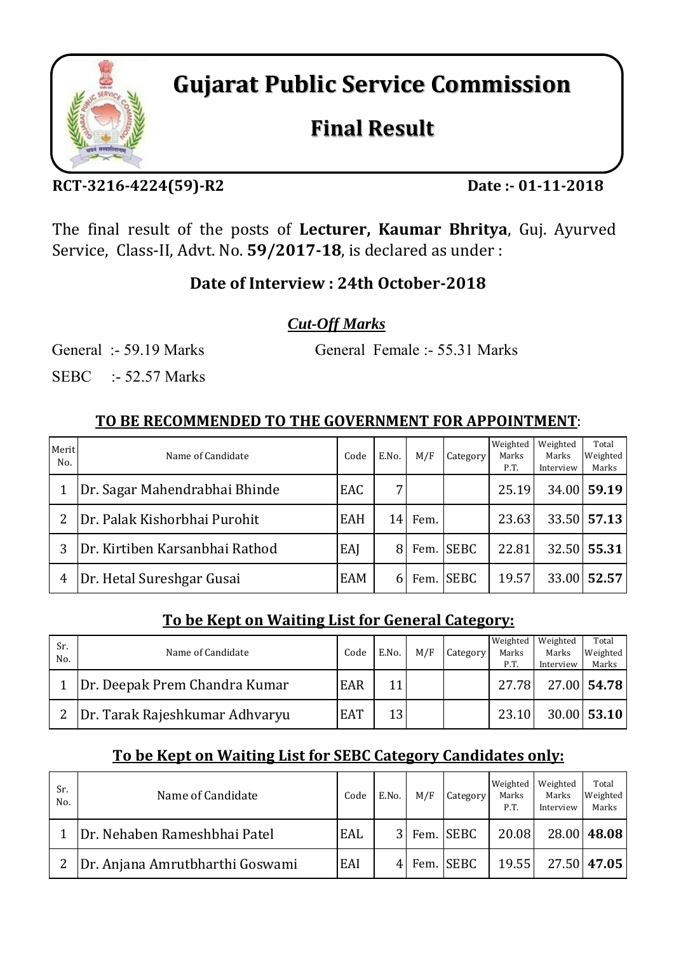

# **Gujarat Public Service Commission**

# **Final Result**

## **RCT‐3216‐4224(59)‐R2 Date :‐ 01‐11‐2018**

The final result of the posts of **Lecturer, Kaumar Bhritya**, Guj. Ayurved Service, Class-II, Advt. No. **59/2017‐18**, is declared as under :

## **Date of Interview : 24th October‐2018**

## *Cut-Off Marks*

General :- 59.19 Marks General Female :- 55.31 Marks

SEBC :- 52.57 Marks

#### **TO BE RECOMMENDED TO THE GOVERNMENT FOR APPOINTMENT**:

| Merit<br>No. | Name of Candidate              | Code | E.No. | M/F  | Category I  | Weighted<br>Marks<br>P.T. | Weighted<br>Marks<br>Interview | Total<br>Weighted<br>Marks |
|--------------|--------------------------------|------|-------|------|-------------|---------------------------|--------------------------------|----------------------------|
|              | Dr. Sagar Mahendrabhai Bhinde  | EAC  | 7     |      |             | 25.19                     |                                | 34.00 59.19                |
| 2            | Dr. Palak Kishorbhai Purohit   | EAH  | 14    | Fem. |             | 23.63                     |                                | 33.50 57.13                |
| 3            | Dr. Kirtiben Karsanbhai Rathod | EAJ  | 8     |      | Fem. SEBC   | 22.81                     |                                | 32.50 55.31                |
| 4            | Dr. Hetal Sureshgar Gusai      | EAM  | 6     | Fem. | <b>SEBC</b> | 19.57                     | 33.00                          | 52.57                      |

#### **To be Kept on Waiting List for General Category:**

| Sr. |                                |            |       |     |          | Weighted | Weighted  | Total       |
|-----|--------------------------------|------------|-------|-----|----------|----------|-----------|-------------|
| No. | Name of Candidate              | Code       | E.No. | M/F | Category | Marks    | Marks     | Weighted    |
|     |                                |            |       |     |          | P.T.     | Interview | Marks       |
|     | Dr. Deepak Prem Chandra Kumar  | EAR        | 11    |     |          | 27.78    |           | 27.00 54.78 |
|     | Dr. Tarak Rajeshkumar Adhvaryu | <b>EAT</b> | 13    |     |          | 23.10    |           | 30.00 53.10 |

# **To be Kept on Waiting List for SEBC Category Candidates only:**

| Sr.<br>No. | Name of Candidate               | Code | E.No.          | M/F         | Category  | Weighted<br>Marks<br>P.T. | Weighted<br>Marks<br>Interview | Total<br>Weighted<br>Marks |
|------------|---------------------------------|------|----------------|-------------|-----------|---------------------------|--------------------------------|----------------------------|
|            | Dr. Nehaben Rameshbhai Patel    | EAL  | 3 <sup>1</sup> |             | Fem. SEBC | 20.08                     |                                | 28.00 48.08                |
|            | Dr. Anjana Amrutbharthi Goswami | EAI  |                | 4 Fem. SEBC |           | 19.55                     |                                | 27.50 47.05                |